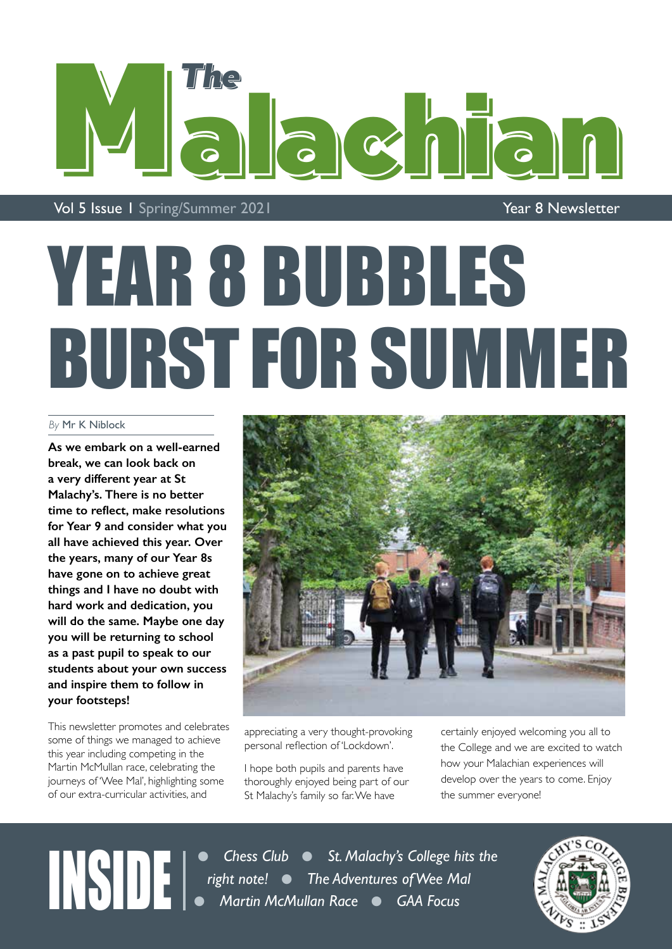

Vol 5 Issue 1 Spring/Summer 2021 and the contract of the Year 8 Newsletter

## YEAR 8 BUBBLES BURST FOR SUMMER

### *By* Mr K Niblock

**As we embark on a well-earned break, we can look back on a very different year at St Malachy's. There is no better time to reflect, make resolutions for Year 9 and consider what you all have achieved this year. Over the years, many of our Year 8s have gone on to achieve great things and I have no doubt with hard work and dedication, you will do the same. Maybe one day you will be returning to school as a past pupil to speak to our students about your own success and inspire them to follow in your footsteps!**

This newsletter promotes and celebrates some of things we managed to achieve this year including competing in the Martin McMullan race, celebrating the journeys of 'Wee Mal', highlighting some of our extra-curricular activities, and



appreciating a very thought-provoking personal reflection of 'Lockdown'.

I hope both pupils and parents have thoroughly enjoyed being part of our St Malachy's family so far. We have

certainly enjoyed welcoming you all to the College and we are excited to watch how your Malachian experiences will develop over the years to come. Enjoy the summer everyone!

**INSIDE** Chess Club • St. Malachy's College hits the right note! • The Adventures of Wee Mal<br>• Martin McMullan Race • GAA Focus *right note! • The Adventures of Wee Mal* **• Martin McMullan Race • GAA Focus** 

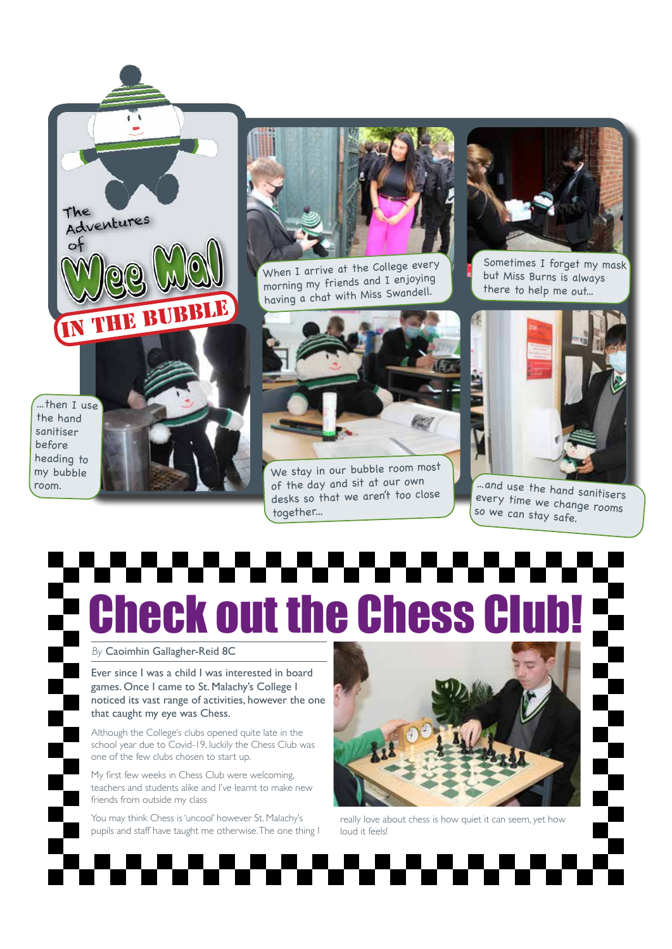...then I use the hand sanitiser before heading to my bubble room.

The

Adventures

i TRBI



When I arrive at the College every morning my friends and I enjoying having a chat with Miss Swandell.



We stay in our bubble room mos<sup>t</sup> of the day and sit at our own desks so that we aren't too close together...



Sometimes I forget my mask but Miss Burns is always there to help me out...



...and use the hand sanitisers every time we change rooms so we can stay safe.

# **Check out the Chess**

#### *By* Caoimhin Gallagher-Reid 8C

Ever since I was a child I was interested in board games. Once I came to St. Malachy's College I noticed its vast range of activities, however the one that caught my eye was Chess.

Although the College's clubs opened quite late in the school year due to Covid-19, luckily the Chess Club was one of the few clubs chosen to start up.

My first few weeks in Chess Club were welcoming, teachers and students alike and I've learnt to make new friends from outside my class

You may think Chess is 'uncool' however St. Malachy's pupils and staff have taught me otherwise. The one thing I



really love about chess is how quiet it can seem, yet how loud it feels!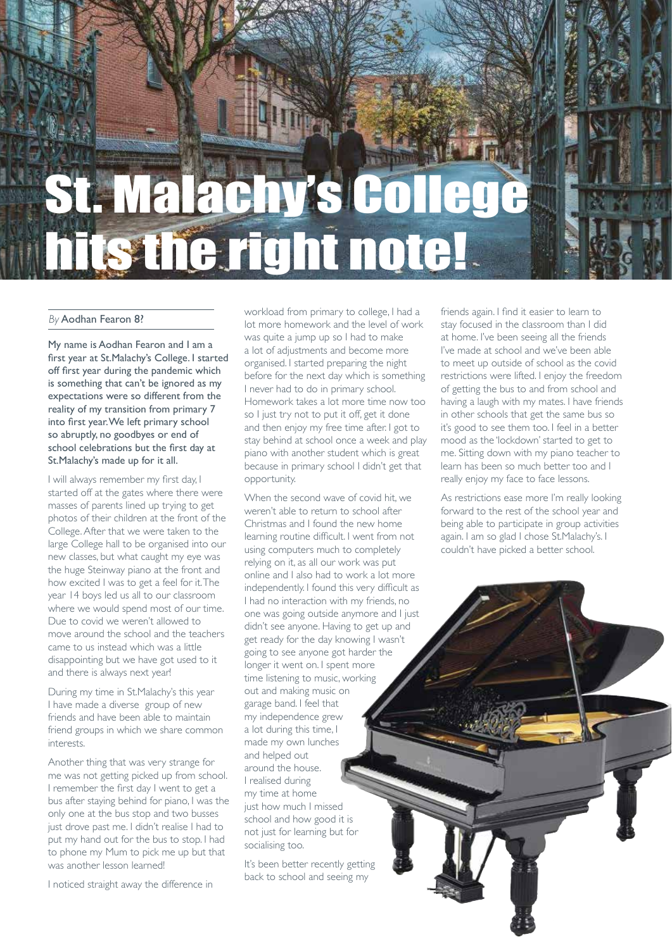## St. Malachy's Col hits the right note!

#### *By* Aodhan Fearon 8?

My name is Aodhan Fearon and I am a first year at St.Malachy's College. I started off first year during the pandemic which is something that can't be ignored as my expectations were so different from the reality of my transition from primary 7 into first year. We left primary school so abruptly, no goodbyes or end of school celebrations but the first day at St.Malachy's made up for it all.

I will always remember my first day, I started off at the gates where there were masses of parents lined up trying to get photos of their children at the front of the College. After that we were taken to the large College hall to be organised into our new classes, but what caught my eye was the huge Steinway piano at the front and how excited I was to get a feel for it. The year 14 boys led us all to our classroom where we would spend most of our time. Due to covid we weren't allowed to move around the school and the teachers came to us instead which was a little disappointing but we have got used to it and there is always next year!

During my time in St.Malachy's this year I have made a diverse group of new friends and have been able to maintain friend groups in which we share common interests.

Another thing that was very strange for me was not getting picked up from school. I remember the first day I went to get a bus after staying behind for piano, I was the only one at the bus stop and two busses just drove past me. I didn't realise I had to put my hand out for the bus to stop. I had to phone my Mum to pick me up but that was another lesson learned!

I noticed straight away the difference in

workload from primary to college, I had a lot more homework and the level of work was quite a jump up so I had to make a lot of adjustments and become more organised. I started preparing the night before for the next day which is something I never had to do in primary school. Homework takes a lot more time now too so I just try not to put it off, get it done and then enjoy my free time after. I got to stay behind at school once a week and play piano with another student which is great because in primary school I didn't get that opportunity.

When the second wave of covid hit, we weren't able to return to school after Christmas and I found the new home learning routine difficult. I went from not using computers much to completely relying on it, as all our work was put online and I also had to work a lot more independently. I found this very difficult as I had no interaction with my friends, no one was going outside anymore and I just didn't see anyone. Having to get up and get ready for the day knowing I wasn't going to see anyone got harder the longer it went on. I spent more time listening to music, working out and making music on garage band. I feel that my independence grew a lot during this time, I made my own lunches and helped out around the house. I realised during my time at home just how much I missed school and how good it is not just for learning but for socialising too.

It's been better recently getting back to school and seeing my

friends again. I find it easier to learn to stay focused in the classroom than I did at home. I've been seeing all the friends I've made at school and we've been able to meet up outside of school as the covid restrictions were lifted. I enjoy the freedom of getting the bus to and from school and having a laugh with my mates. I have friends in other schools that get the same bus so it's good to see them too. I feel in a better mood as the 'lockdown' started to get to me. Sitting down with my piano teacher to learn has been so much better too and I really enjoy my face to face lessons.

As restrictions ease more I'm really looking forward to the rest of the school year and being able to participate in group activities again. I am so glad I chose St.Malachy's. I couldn't have picked a better school.